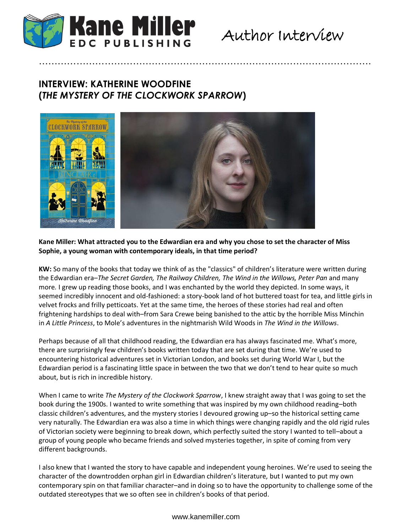

# Author Interview

# **INTERVIEW: KATHERINE WOODFINE (***THE MYSTERY OF THE CLOCKWORK SPARROW***)**



### **Kane Miller: What attracted you to the Edwardian era and why you chose to set the character of Miss Sophie, a young woman with contemporary ideals, in that time period?**

…………………………………………………………………………………………….

**KW:** So many of the books that today we think of as the "classics" of children's literature were written during the Edwardian era–*The Secret Garden, The Railway Children, The Wind in the Willows, Peter Pan* and many more*.* I grew up reading those books, and I was enchanted by the world they depicted. In some ways, it seemed incredibly innocent and old-fashioned: a story-book land of hot buttered toast for tea, and little girls in velvet frocks and frilly petticoats. Yet at the same time, the heroes of these stories had real and often frightening hardships to deal with–from Sara Crewe being banished to the attic by the horrible Miss Minchin in *A Little Princess*, to Mole's adventures in the nightmarish Wild Woods in *The Wind in the Willows*.

Perhaps because of all that childhood reading, the Edwardian era has always fascinated me. What's more, there are surprisingly few children's books written today that are set during that time. We're used to encountering historical adventures set in Victorian London, and books set during World War I, but the Edwardian period is a fascinating little space in between the two that we don't tend to hear quite so much about, but is rich in incredible history.

When I came to write *The Mystery of the Clockwork Sparrow*, I knew straight away that I was going to set the book during the 1900s. I wanted to write something that was inspired by my own childhood reading–both classic children's adventures, and the mystery stories I devoured growing up–so the historical setting came very naturally. The Edwardian era was also a time in which things were changing rapidly and the old rigid rules of Victorian society were beginning to break down, which perfectly suited the story I wanted to tell–about a group of young people who became friends and solved mysteries together, in spite of coming from very different backgrounds.

I also knew that I wanted the story to have capable and independent young heroines. We're used to seeing the character of the downtrodden orphan girl in Edwardian children's literature, but I wanted to put my own contemporary spin on that familiar character–and in doing so to have the opportunity to challenge some of the outdated stereotypes that we so often see in children's books of that period.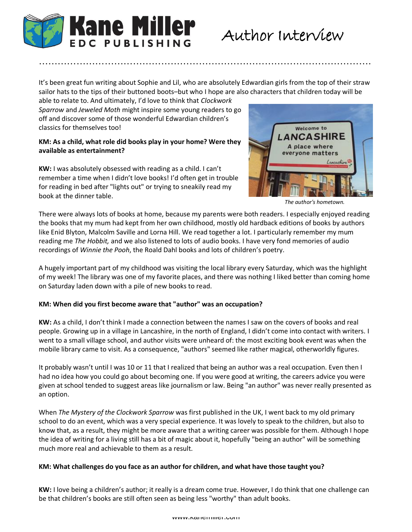

It's been great fun writing about Sophie and Lil, who are absolutely Edwardian girls from the top of their straw sailor hats to the tips of their buttoned boots–but who I hope are also characters that children today will be

…………………………………………………………………………………………….

able to relate to. And ultimately, I'd love to think that *Clockwork Sparrow* and *Jeweled Moth* might inspire some young readers to go off and discover some of those wonderful Edwardian children's classics for themselves too!

### **KM: As a child, what role did books play in your home? Were they available as entertainment?**

**KW:** I was absolutely obsessed with reading as a child. I can't remember a time when I didn't love books! I'd often get in trouble for reading in bed after "lights out" or trying to sneakily read my book at the dinner table.



*The author's hometown.*

There were always lots of books at home, because my parents were both readers. I especially enjoyed reading the books that my mum had kept from her own childhood, mostly old hardback editions of books by authors like Enid Blyton, Malcolm Saville and Lorna Hill. We read together a lot. I particularly remember my mum reading me *The Hobbit,* and we also listened to lots of audio books. I have very fond memories of audio recordings of *Winnie the Pooh*, the Roald Dahl books and lots of children's poetry.

A hugely important part of my childhood was visiting the local library every Saturday, which was the highlight of my week! The library was one of my favorite places, and there was nothing I liked better than coming home on Saturday laden down with a pile of new books to read.

## **KM: When did you first become aware that "author" was an occupation?**

**KW:** As a child, I don't think I made a connection between the names I saw on the covers of books and real people. Growing up in a village in Lancashire, in the north of England, I didn't come into contact with writers. I went to a small village school, and author visits were unheard of: the most exciting book event was when the mobile library came to visit. As a consequence, "authors" seemed like rather magical, otherworldly figures.

It probably wasn't until I was 10 or 11 that I realized that being an author was a real occupation. Even then I had no idea how you could go about becoming one. If you were good at writing, the careers advice you were given at school tended to suggest areas like journalism or law. Being "an author" was never really presented as an option.

When *The Mystery of the Clockwork Sparrow* was first published in the UK, I went back to my old primary school to do an event, which was a very special experience. It was lovely to speak to the children, but also to know that, as a result, they might be more aware that a writing career was possible for them. Although I hope the idea of writing for a living still has a bit of magic about it, hopefully "being an author" will be something much more real and achievable to them as a result.

### **KM: What challenges do you face as an author for children, and what have those taught you?**

**KW:** I love being a children's author; it really is a dream come true. However, I do think that one challenge can be that children's books are still often seen as being less "worthy" than adult books.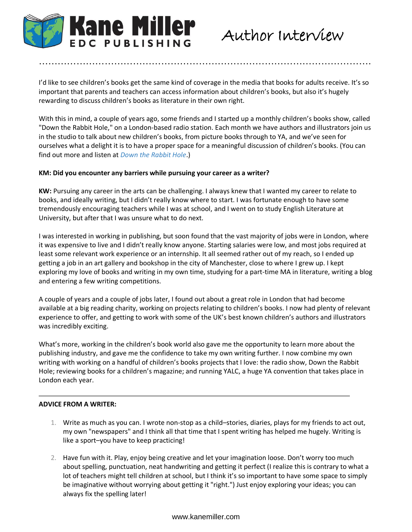

# Author Interview

I'd like to see children's books get the same kind of coverage in the media that books for adults receive. It's so important that parents and teachers can access information about children's books, but also it's hugely rewarding to discuss children's books as literature in their own right.

…………………………………………………………………………………………….

With this in mind, a couple of years ago, some friends and I started up a monthly children's books show, called "Down the Rabbit Hole," on a London-based radio station. Each month we have authors and illustrators join us in the studio to talk about new children's books, from picture books through to YA, and we've seen for ourselves what a delight it is to have a proper space for a meaningful discussion of children's books. (You can find out more and listen at *[Down the Rabbit Hole](http://downtherabbitholeradio.tumblr.com/)*.)

### **KM: Did you encounter any barriers while pursuing your career as a writer?**

**KW:** Pursuing any career in the arts can be challenging. I always knew that I wanted my career to relate to books, and ideally writing, but I didn't really know where to start. I was fortunate enough to have some tremendously encouraging teachers while I was at school, and I went on to study English Literature at University, but after that I was unsure what to do next.

I was interested in working in publishing, but soon found that the vast majority of jobs were in London, where it was expensive to live and I didn't really know anyone. Starting salaries were low, and most jobs required at least some relevant work experience or an internship. It all seemed rather out of my reach, so I ended up getting a job in an art gallery and bookshop in the city of Manchester, close to where I grew up. I kept exploring my love of books and writing in my own time, studying for a part-time MA in literature, writing a blog and entering a few writing competitions.

A couple of years and a couple of jobs later, I found out about a great role in London that had become available at a big reading charity, working on projects relating to children's books. I now had plenty of relevant experience to offer, and getting to work with some of the UK's best known children's authors and illustrators was incredibly exciting.

What's more, working in the children's book world also gave me the opportunity to learn more about the publishing industry, and gave me the confidence to take my own writing further. I now combine my own writing with working on a handful of children's books projects that I love: the radio show, Down the Rabbit Hole; reviewing books for a children's magazine; and running YALC, a huge YA convention that takes place in London each year.

### **ADVICE FROM A WRITER:**

- 1. Write as much as you can. I wrote non-stop as a child–stories, diaries, plays for my friends to act out, my own "newspapers" and I think all that time that I spent writing has helped me hugely. Writing is like a sport–you have to keep practicing!
- 2. Have fun with it. Play, enjoy being creative and let your imagination loose. Don't worry too much about spelling, punctuation, neat handwriting and getting it perfect (I realize this is contrary to what a lot of teachers might tell children at school, but I think it's so important to have some space to simply be imaginative without worrying about getting it "right.") Just enjoy exploring your ideas; you can always fix the spelling later!